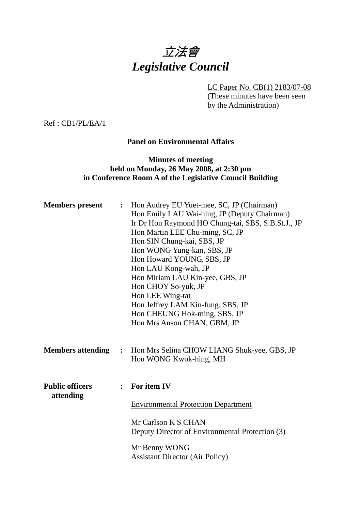# 立法會 *Legislative Council*

LC Paper No. CB(1) 2183/07-08

(These minutes have been seen by the Administration)

Ref : CB1/PL/EA/1

#### **Panel on Environmental Affairs**

### **Minutes of meeting held on Monday, 26 May 2008, at 2:30 pm in Conference Room A of the Legislative Council Building**

| <b>Members</b> present              |                | : Hon Audrey EU Yuet-mee, SC, JP (Chairman)<br>Hon Emily LAU Wai-hing, JP (Deputy Chairman)<br>Ir Dr Hon Raymond HO Chung-tai, SBS, S.B.St.J., JP<br>Hon Martin LEE Chu-ming, SC, JP<br>Hon SIN Chung-kai, SBS, JP<br>Hon WONG Yung-kan, SBS, JP<br>Hon Howard YOUNG, SBS, JP<br>Hon LAU Kong-wah, JP<br>Hon Miriam LAU Kin-yee, GBS, JP<br>Hon CHOY So-yuk, JP<br>Hon LEE Wing-tat<br>Hon Jeffrey LAM Kin-fung, SBS, JP<br>Hon CHEUNG Hok-ming, SBS, JP<br>Hon Mrs Anson CHAN, GBM, JP |
|-------------------------------------|----------------|-----------------------------------------------------------------------------------------------------------------------------------------------------------------------------------------------------------------------------------------------------------------------------------------------------------------------------------------------------------------------------------------------------------------------------------------------------------------------------------------|
| <b>Members attending</b>            |                | : Hon Mrs Selina CHOW LIANG Shuk-yee, GBS, JP<br>Hon WONG Kwok-hing, MH                                                                                                                                                                                                                                                                                                                                                                                                                 |
| <b>Public officers</b><br>attending | $\ddot{\cdot}$ | For item IV<br><b>Environmental Protection Department</b><br>Mr Carlson K S CHAN<br>Deputy Director of Environmental Protection (3)<br>Mr Benny WONG<br><b>Assistant Director (Air Policy)</b>                                                                                                                                                                                                                                                                                          |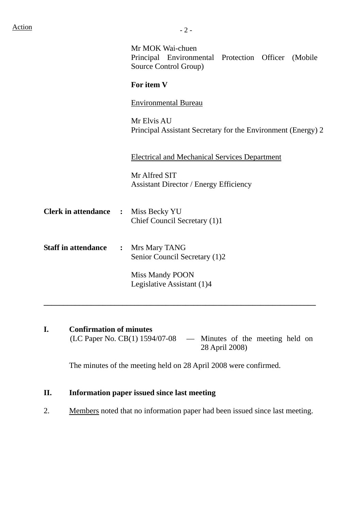|                                            |                | Mr MOK Wai-chuen<br>Principal Environmental Protection Officer (Mobile<br>Source Control Group) |
|--------------------------------------------|----------------|-------------------------------------------------------------------------------------------------|
|                                            |                | For item V                                                                                      |
|                                            |                | <b>Environmental Bureau</b>                                                                     |
|                                            |                | Mr Elvis AU<br>Principal Assistant Secretary for the Environment (Energy) 2                     |
|                                            |                | <b>Electrical and Mechanical Services Department</b>                                            |
|                                            |                | Mr Alfred SIT<br><b>Assistant Director / Energy Efficiency</b>                                  |
| <b>Clerk in attendance :</b> Miss Becky YU |                | Chief Council Secretary (1)1                                                                    |
| <b>Staff in attendance</b>                 | $\ddot{\cdot}$ | Mrs Mary TANG<br>Senior Council Secretary (1)2                                                  |
|                                            |                | <b>Miss Mandy POON</b><br>Legislative Assistant (1)4                                            |
|                                            |                |                                                                                                 |

**I.** Confirmation of minutes<br>(LC Paper No. CB(1) 1594/07-08 - Minutes of the meeting held on 28 April 2008)

The minutes of the meeting held on 28 April 2008 were confirmed.

# **II. Information paper issued since last meeting**

2. Members noted that no information paper had been issued since last meeting.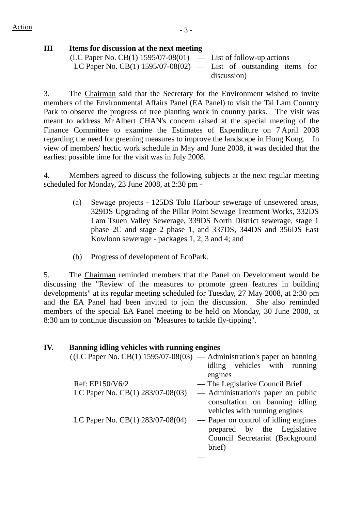# **III Items for discussion at the next meeting**

| (LC Paper No. CB(1) $1595/07-08(01)$ — List of follow-up actions    |             |  |  |
|---------------------------------------------------------------------|-------------|--|--|
| LC Paper No. CB(1) $1595/07-08(02)$ — List of outstanding items for |             |  |  |
|                                                                     | discussion) |  |  |

3. The Chairman said that the Secretary for the Environment wished to invite members of the Environmental Affairs Panel (EA Panel) to visit the Tai Lam Country Park to observe the progress of tree planting work in country parks. The visit was meant to address Mr Albert CHAN's concern raised at the special meeting of the Finance Committee to examine the Estimates of Expenditure on 7 April 2008 regarding the need for greening measures to improve the landscape in Hong Kong. In view of members' hectic work schedule in May and June 2008, it was decided that the earliest possible time for the visit was in July 2008.

4. Members agreed to discuss the following subjects at the next regular meeting scheduled for Monday, 23 June 2008, at 2:30 pm -

- (a) Sewage projects 125DS Tolo Harbour sewerage of unsewered areas, 329DS Upgrading of the Pillar Point Sewage Treatment Works, 332DS Lam Tsuen Valley Sewerage, 339DS North District sewerage, stage 1 phase 2C and stage 2 phase 1, and 337DS, 344DS and 356DS East Kowloon sewerage - packages 1, 2, 3 and 4; and
- (b) Progress of development of EcoPark.

5. The Chairman reminded members that the Panel on Development would be discussing the "Review of the measures to promote green features in building developments" at its regular meeting scheduled for Tuesday, 27 May 2008, at 2:30 pm and the EA Panel had been invited to join the discussion. She also reminded members of the special EA Panel meeting to be held on Monday, 30 June 2008, at 8:30 am to continue discussion on "Measures to tackle fly-tipping".

| IV. | Banning idling vehicles with running engines |                                                                                                                                                 |
|-----|----------------------------------------------|-------------------------------------------------------------------------------------------------------------------------------------------------|
|     |                                              | $((LC Paper No. CB(1) 1595/07-08(03) - Administration's paper on banning)$                                                                      |
|     |                                              | idling vehicles with running<br>engines                                                                                                         |
|     | Ref: EP150/V6/2                              | — The Legislative Council Brief                                                                                                                 |
|     |                                              | LC Paper No. $CB(1)$ 283/07-08(03) $\qquad$ Administration's paper on public<br>consultation on banning idling<br>vehicles with running engines |
|     | LC Paper No. $CB(1)$ 283/07-08(04)           | - Paper on control of idling engines<br>prepared by the Legislative<br>Council Secretariat (Background<br>brief)                                |
|     |                                              |                                                                                                                                                 |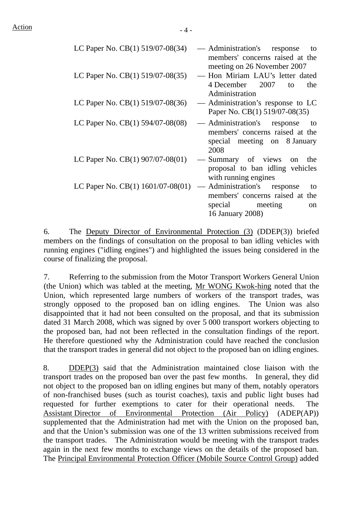| LC Paper No. CB(1) 519/07-08(34)        | — Administration's<br>response<br>to<br>members' concerns raised at the |
|-----------------------------------------|-------------------------------------------------------------------------|
|                                         | meeting on 26 November 2007                                             |
| LC Paper No. CB(1) 519/07-08(35)        | Hon Miriam LAU's letter dated<br>4 December 2007                        |
|                                         | to<br>the<br>Administration                                             |
| LC Paper No. $CB(1)$ 519/07-08(36)      | — Administration's response to LC                                       |
|                                         | Paper No. CB(1) 519/07-08(35)                                           |
| LC Paper No. $CB(1)$ 594/07-08(08)      | — Administration's response<br>to                                       |
|                                         | members' concerns raised at the                                         |
|                                         | special meeting on 8 January                                            |
|                                         | 2008                                                                    |
| LC Paper No. $CB(1)$ 907/07-08(01)      | - Summary of views on<br>the                                            |
|                                         | proposal to ban idling vehicles<br>with running engines                 |
|                                         |                                                                         |
| LC Paper No. CB $(1)$ 1601/07-08 $(01)$ | — Administration's<br>response<br>to                                    |
|                                         | members' concerns raised at the                                         |
|                                         | special meeting<br><sub>on</sub>                                        |
|                                         | 16 January 2008)                                                        |

6. The Deputy Director of Environmental Protection (3) (DDEP(3)) briefed members on the findings of consultation on the proposal to ban idling vehicles with running engines ("idling engines") and highlighted the issues being considered in the course of finalizing the proposal.

7. Referring to the submission from the Motor Transport Workers General Union (the Union) which was tabled at the meeting, Mr WONG Kwok-hing noted that the Union, which represented large numbers of workers of the transport trades, was strongly opposed to the proposed ban on idling engines. The Union was also disappointed that it had not been consulted on the proposal, and that its submission dated 31 March 2008, which was signed by over 5 000 transport workers objecting to the proposed ban, had not been reflected in the consultation findings of the report. He therefore questioned why the Administration could have reached the conclusion that the transport trades in general did not object to the proposed ban on idling engines.

8. DDEP(3) said that the Administration maintained close liaison with the transport trades on the proposed ban over the past few months. In general, they did not object to the proposed ban on idling engines but many of them, notably operators of non-franchised buses (such as tourist coaches), taxis and public light buses had requested for further exemptions to cater for their operational needs. The Assistant Director of Environmental Protection (Air Policy) (ADEP(AP)) supplemented that the Administration had met with the Union on the proposed ban, and that the Union's submission was one of the 13 written submissions received from the transport trades. The Administration would be meeting with the transport trades again in the next few months to exchange views on the details of the proposed ban. The Principal Environmental Protection Officer (Mobile Source Control Group) added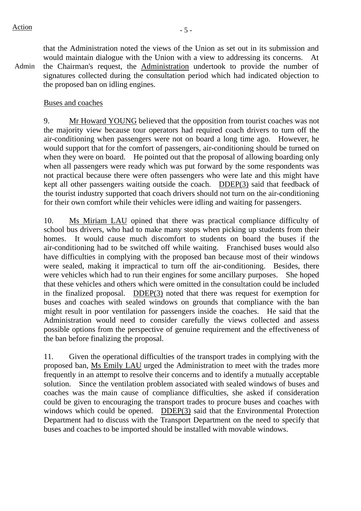Admin that the Administration noted the views of the Union as set out in its submission and would maintain dialogue with the Union with a view to addressing its concerns. At the Chairman's request, the Administration undertook to provide the number of signatures collected during the consultation period which had indicated objection to the proposed ban on idling engines.

#### Buses and coaches

9. Mr Howard YOUNG believed that the opposition from tourist coaches was not the majority view because tour operators had required coach drivers to turn off the air-conditioning when passengers were not on board a long time ago. However, he would support that for the comfort of passengers, air-conditioning should be turned on when they were on board. He pointed out that the proposal of allowing boarding only when all passengers were ready which was put forward by the some respondents was not practical because there were often passengers who were late and this might have kept all other passengers waiting outside the coach. DDEP(3) said that feedback of the tourist industry supported that coach drivers should not turn on the air-conditioning for their own comfort while their vehicles were idling and waiting for passengers.

10. Ms Miriam LAU opined that there was practical compliance difficulty of school bus drivers, who had to make many stops when picking up students from their homes. It would cause much discomfort to students on board the buses if the air-conditioning had to be switched off while waiting. Franchised buses would also have difficulties in complying with the proposed ban because most of their windows were sealed, making it impractical to turn off the air-conditioning. Besides, there were vehicles which had to run their engines for some ancillary purposes. She hoped that these vehicles and others which were omitted in the consultation could be included in the finalized proposal. DDEP(3) noted that there was request for exemption for buses and coaches with sealed windows on grounds that compliance with the ban might result in poor ventilation for passengers inside the coaches. He said that the Administration would need to consider carefully the views collected and assess possible options from the perspective of genuine requirement and the effectiveness of the ban before finalizing the proposal.

11. Given the operational difficulties of the transport trades in complying with the proposed ban, Ms Emily LAU urged the Administration to meet with the trades more frequently in an attempt to resolve their concerns and to identify a mutually acceptable solution. Since the ventilation problem associated with sealed windows of buses and coaches was the main cause of compliance difficulties, she asked if consideration could be given to encouraging the transport trades to procure buses and coaches with windows which could be opened. DDEP(3) said that the Environmental Protection Department had to discuss with the Transport Department on the need to specify that buses and coaches to be imported should be installed with movable windows.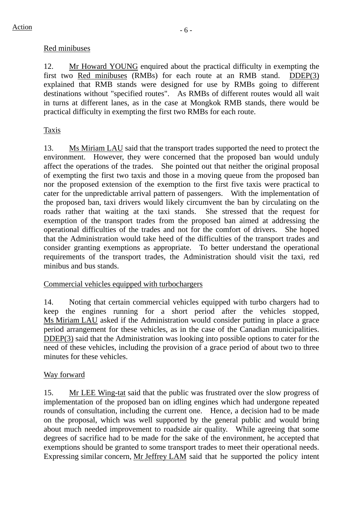# Red minibuses

12. Mr Howard YOUNG enquired about the practical difficulty in exempting the first two Red minibuses (RMBs) for each route at an RMB stand. DDEP(3) explained that RMB stands were designed for use by RMBs going to different destinations without "specified routes". As RMBs of different routes would all wait in turns at different lanes, as in the case at Mongkok RMB stands, there would be practical difficulty in exempting the first two RMBs for each route.

# Taxis

13. Ms Miriam LAU said that the transport trades supported the need to protect the environment. However, they were concerned that the proposed ban would unduly affect the operations of the trades. She pointed out that neither the original proposal of exempting the first two taxis and those in a moving queue from the proposed ban nor the proposed extension of the exemption to the first five taxis were practical to cater for the unpredictable arrival pattern of passengers. With the implementation of the proposed ban, taxi drivers would likely circumvent the ban by circulating on the roads rather that waiting at the taxi stands. She stressed that the request for exemption of the transport trades from the proposed ban aimed at addressing the operational difficulties of the trades and not for the comfort of drivers. She hoped that the Administration would take heed of the difficulties of the transport trades and consider granting exemptions as appropriate. To better understand the operational requirements of the transport trades, the Administration should visit the taxi, red minibus and bus stands.

### Commercial vehicles equipped with turbochargers

14. Noting that certain commercial vehicles equipped with turbo chargers had to keep the engines running for a short period after the vehicles stopped, Ms Miriam LAU asked if the Administration would consider putting in place a grace period arrangement for these vehicles, as in the case of the Canadian municipalities. DDEP(3) said that the Administration was looking into possible options to cater for the need of these vehicles, including the provision of a grace period of about two to three minutes for these vehicles.

### Way forward

15. Mr LEE Wing-tat said that the public was frustrated over the slow progress of implementation of the proposed ban on idling engines which had undergone repeated rounds of consultation, including the current one. Hence, a decision had to be made on the proposal, which was well supported by the general public and would bring about much needed improvement to roadside air quality. While agreeing that some degrees of sacrifice had to be made for the sake of the environment, he accepted that exemptions should be granted to some transport trades to meet their operational needs. Expressing similar concern, Mr Jeffrey LAM said that he supported the policy intent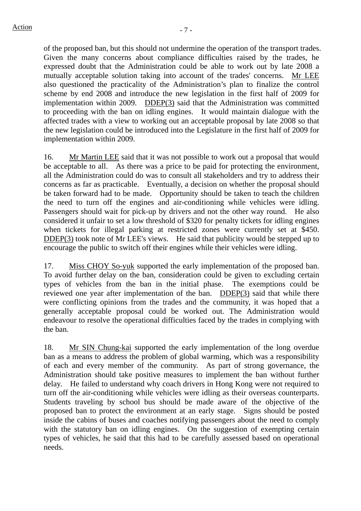of the proposed ban, but this should not undermine the operation of the transport trades. Given the many concerns about compliance difficulties raised by the trades, he expressed doubt that the Administration could be able to work out by late 2008 a mutually acceptable solution taking into account of the trades' concerns. Mr LEE also questioned the practicality of the Administration's plan to finalize the control scheme by end 2008 and introduce the new legislation in the first half of 2009 for implementation within 2009. DDEP(3) said that the Administration was committed to proceeding with the ban on idling engines. It would maintain dialogue with the affected trades with a view to working out an acceptable proposal by late 2008 so that the new legislation could be introduced into the Legislature in the first half of 2009 for implementation within 2009.

16. Mr Martin LEE said that it was not possible to work out a proposal that would be acceptable to all. As there was a price to be paid for protecting the environment, all the Administration could do was to consult all stakeholders and try to address their concerns as far as practicable. Eventually, a decision on whether the proposal should be taken forward had to be made. Opportunity should be taken to teach the children the need to turn off the engines and air-conditioning while vehicles were idling. Passengers should wait for pick-up by drivers and not the other way round. He also considered it unfair to set a low threshold of \$320 for penalty tickets for idling engines when tickets for illegal parking at restricted zones were currently set at \$450. DDEP(3) took note of Mr LEE's views. He said that publicity would be stepped up to encourage the public to switch off their engines while their vehicles were idling.

17. Miss CHOY So-yuk supported the early implementation of the proposed ban. To avoid further delay on the ban, consideration could be given to excluding certain types of vehicles from the ban in the initial phase. The exemptions could be reviewed one year after implementation of the ban. DDEP(3) said that while there were conflicting opinions from the trades and the community, it was hoped that a generally acceptable proposal could be worked out. The Administration would endeavour to resolve the operational difficulties faced by the trades in complying with the ban.

18. Mr SIN Chung-kai supported the early implementation of the long overdue ban as a means to address the problem of global warming, which was a responsibility of each and every member of the community. As part of strong governance, the Administration should take positive measures to implement the ban without further delay. He failed to understand why coach drivers in Hong Kong were not required to turn off the air-conditioning while vehicles were idling as their overseas counterparts. Students traveling by school bus should be made aware of the objective of the proposed ban to protect the environment at an early stage. Signs should be posted inside the cabins of buses and coaches notifying passengers about the need to comply with the statutory ban on idling engines. On the suggestion of exempting certain types of vehicles, he said that this had to be carefully assessed based on operational needs.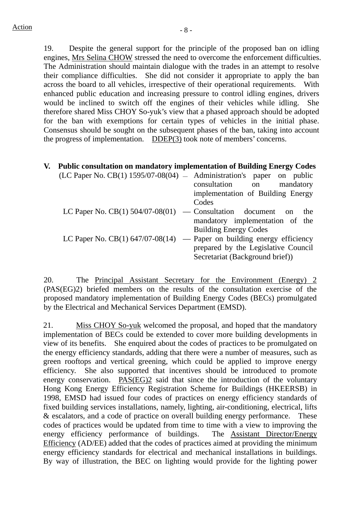19. Despite the general support for the principle of the proposed ban on idling engines, Mrs Selina CHOW stressed the need to overcome the enforcement difficulties. The Administration should maintain dialogue with the trades in an attempt to resolve their compliance difficulties. She did not consider it appropriate to apply the ban across the board to all vehicles, irrespective of their operational requirements. With enhanced public education and increasing pressure to control idling engines, drivers would be inclined to switch off the engines of their vehicles while idling. She therefore shared Miss CHOY So-yuk's view that a phased approach should be adopted for the ban with exemptions for certain types of vehicles in the initial phase. Consensus should be sought on the subsequent phases of the ban, taking into account the progress of implementation. DDEP(3) took note of members' concerns.

| V. | <b>Public consultation on mandatory implementation of Building Energy Codes</b> |                                     |
|----|---------------------------------------------------------------------------------|-------------------------------------|
|    | $(LC$ Paper No. $CB(1)$ 1595/07-08(04) $-$ Administration's paper on public     |                                     |
|    |                                                                                 | consultation<br>mandatory<br>on     |
|    |                                                                                 | implementation of Building Energy   |
|    |                                                                                 | Codes                               |
|    | LC Paper No. CB(1) $504/07-08(01)$ — Consultation document                      | the<br>$\alpha$                     |
|    |                                                                                 | mandatory implementation of the     |
|    |                                                                                 | <b>Building Energy Codes</b>        |
|    | LC Paper No. CB(1) $647/07-08(14)$ — Paper on building energy efficiency        |                                     |
|    |                                                                                 | prepared by the Legislative Council |
|    |                                                                                 | Secretariat (Background brief))     |

20. The Principal Assistant Secretary for the Environment (Energy) 2 (PAS(EG)2) briefed members on the results of the consultation exercise of the proposed mandatory implementation of Building Energy Codes (BECs) promulgated by the Electrical and Mechanical Services Department (EMSD).

21. Miss CHOY So-yuk welcomed the proposal, and hoped that the mandatory implementation of BECs could be extended to cover more building developments in view of its benefits. She enquired about the codes of practices to be promulgated on the energy efficiency standards, adding that there were a number of measures, such as green rooftops and vertical greening, which could be applied to improve energy efficiency. She also supported that incentives should be introduced to promote energy conservation. PAS(EG)2 said that since the introduction of the voluntary Hong Kong Energy Efficiency Registration Scheme for Buildings (HKEERSB) in 1998, EMSD had issued four codes of practices on energy efficiency standards of fixed building services installations, namely, lighting, air-conditioning, electrical, lifts & escalators, and a code of practice on overall building energy performance. These codes of practices would be updated from time to time with a view to improving the energy efficiency performance of buildings. The Assistant Director/Energy Efficiency (AD/EE) added that the codes of practices aimed at providing the minimum energy efficiency standards for electrical and mechanical installations in buildings. By way of illustration, the BEC on lighting would provide for the lighting power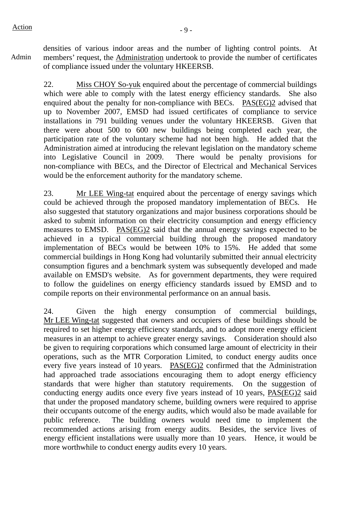Admin

densities of various indoor areas and the number of lighting control points. At members' request, the Administration undertook to provide the number of certificates of compliance issued under the voluntary HKEERSB.

22. Miss CHOY So-yuk enquired about the percentage of commercial buildings which were able to comply with the latest energy efficiency standards. She also enquired about the penalty for non-compliance with BECs. PAS(EG)2 advised that up to November 2007, EMSD had issued certificates of compliance to service installations in 791 building venues under the voluntary HKEERSB. Given that there were about 500 to 600 new buildings being completed each year, the participation rate of the voluntary scheme had not been high. He added that the Administration aimed at introducing the relevant legislation on the mandatory scheme into Legislative Council in 2009. There would be penalty provisions for non-compliance with BECs, and the Director of Electrical and Mechanical Services would be the enforcement authority for the mandatory scheme.

23. Mr LEE Wing-tat enquired about the percentage of energy savings which could be achieved through the proposed mandatory implementation of BECs. He also suggested that statutory organizations and major business corporations should be asked to submit information on their electricity consumption and energy efficiency measures to EMSD. PAS(EG)2 said that the annual energy savings expected to be achieved in a typical commercial building through the proposed mandatory implementation of BECs would be between 10% to 15%. He added that some commercial buildings in Hong Kong had voluntarily submitted their annual electricity consumption figures and a benchmark system was subsequently developed and made available on EMSD's website. As for government departments, they were required to follow the guidelines on energy efficiency standards issued by EMSD and to compile reports on their environmental performance on an annual basis.

24. Given the high energy consumption of commercial buildings, Mr LEE Wing-tat suggested that owners and occupiers of these buildings should be required to set higher energy efficiency standards, and to adopt more energy efficient measures in an attempt to achieve greater energy savings. Consideration should also be given to requiring corporations which consumed large amount of electricity in their operations, such as the MTR Corporation Limited, to conduct energy audits once every five years instead of 10 years. PAS(EG)2 confirmed that the Administration had approached trade associations encouraging them to adopt energy efficiency standards that were higher than statutory requirements. On the suggestion of conducting energy audits once every five years instead of 10 years, PAS(EG)2 said that under the proposed mandatory scheme, building owners were required to apprise their occupants outcome of the energy audits, which would also be made available for public reference. The building owners would need time to implement the recommended actions arising from energy audits. Besides, the service lives of energy efficient installations were usually more than 10 years. Hence, it would be more worthwhile to conduct energy audits every 10 years.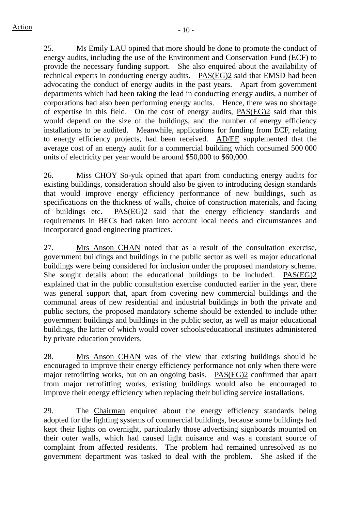25. Ms Emily LAU opined that more should be done to promote the conduct of energy audits, including the use of the Environment and Conservation Fund (ECF) to provide the necessary funding support. She also enquired about the availability of technical experts in conducting energy audits. PAS(EG)2 said that EMSD had been advocating the conduct of energy audits in the past years. Apart from government departments which had been taking the lead in conducting energy audits, a number of corporations had also been performing energy audits. Hence, there was no shortage of expertise in this field. On the cost of energy audits, PAS(EG)2 said that this would depend on the size of the buildings, and the number of energy efficiency installations to be audited. Meanwhile, applications for funding from ECF, relating to energy efficiency projects, had been received. AD/EE supplemented that the average cost of an energy audit for a commercial building which consumed 500 000 units of electricity per year would be around \$50,000 to \$60,000.

26. Miss CHOY So-yuk opined that apart from conducting energy audits for existing buildings, consideration should also be given to introducing design standards that would improve energy efficiency performance of new buildings, such as specifications on the thickness of walls, choice of construction materials, and facing of buildings etc. PAS(EG)2 said that the energy efficiency standards and requirements in BECs had taken into account local needs and circumstances and incorporated good engineering practices.

27. Mrs Anson CHAN noted that as a result of the consultation exercise, government buildings and buildings in the public sector as well as major educational buildings were being considered for inclusion under the proposed mandatory scheme. She sought details about the educational buildings to be included. PAS(EG)2 explained that in the public consultation exercise conducted earlier in the year, there was general support that, apart from covering new commercial buildings and the communal areas of new residential and industrial buildings in both the private and public sectors, the proposed mandatory scheme should be extended to include other government buildings and buildings in the public sector, as well as major educational buildings, the latter of which would cover schools/educational institutes administered by private education providers.

28. Mrs Anson CHAN was of the view that existing buildings should be encouraged to improve their energy efficiency performance not only when there were major retrofitting works, but on an ongoing basis. PAS(EG)2 confirmed that apart from major retrofitting works, existing buildings would also be encouraged to improve their energy efficiency when replacing their building service installations.

29. The Chairman enquired about the energy efficiency standards being adopted for the lighting systems of commercial buildings, because some buildings had kept their lights on overnight, particularly those advertising signboards mounted on their outer walls, which had caused light nuisance and was a constant source of complaint from affected residents. The problem had remained unresolved as no government department was tasked to deal with the problem. She asked if the